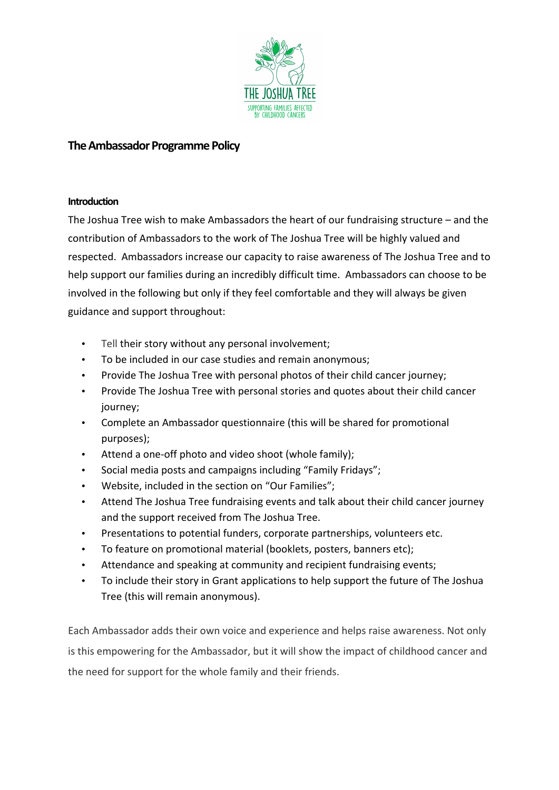

# **The Ambassador Programme Policy**

#### **Introduction**

The Joshua Tree wish to make Ambassadors the heart of our fundraising structure  $-$  and the contribution of Ambassadors to the work of The Joshua Tree will be highly valued and respected. Ambassadors increase our capacity to raise awareness of The Joshua Tree and to help support our families during an incredibly difficult time. Ambassadors can choose to be involved in the following but only if they feel comfortable and they will always be given guidance and support throughout:

- Tell their story without any personal involvement;
- To be included in our case studies and remain anonymous;
- Provide The Joshua Tree with personal photos of their child cancer journey;
- Provide The Joshua Tree with personal stories and quotes about their child cancer journey;
- Complete an Ambassador questionnaire (this will be shared for promotional purposes);
- Attend a one-off photo and video shoot (whole family);
- Social media posts and campaigns including "Family Fridays";
- Website, included in the section on "Our Families";
- Attend The Joshua Tree fundraising events and talk about their child cancer journey and the support received from The Joshua Tree.
- Presentations to potential funders, corporate partnerships, volunteers etc.
- To feature on promotional material (booklets, posters, banners etc);
- Attendance and speaking at community and recipient fundraising events;
- To include their story in Grant applications to help support the future of The Joshua Tree (this will remain anonymous).

Each Ambassador adds their own voice and experience and helps raise awareness. Not only is this empowering for the Ambassador, but it will show the impact of childhood cancer and the need for support for the whole family and their friends.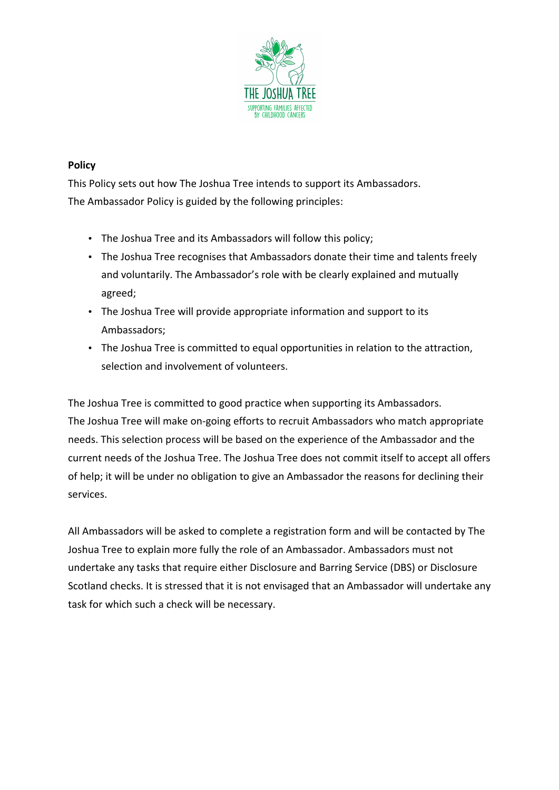

### **Policy**

This Policy sets out how The Joshua Tree intends to support its Ambassadors. The Ambassador Policy is guided by the following principles:

- The Joshua Tree and its Ambassadors will follow this policy;
- The Joshua Tree recognises that Ambassadors donate their time and talents freely and voluntarily. The Ambassador's role with be clearly explained and mutually agreed;
- The Joshua Tree will provide appropriate information and support to its Ambassadors;
- The Joshua Tree is committed to equal opportunities in relation to the attraction, selection and involvement of volunteers.

The Joshua Tree is committed to good practice when supporting its Ambassadors. The Joshua Tree will make on-going efforts to recruit Ambassadors who match appropriate needs. This selection process will be based on the experience of the Ambassador and the current needs of the Joshua Tree. The Joshua Tree does not commit itself to accept all offers of help; it will be under no obligation to give an Ambassador the reasons for declining their services.

All Ambassadors will be asked to complete a registration form and will be contacted by The Joshua Tree to explain more fully the role of an Ambassador. Ambassadors must not undertake any tasks that require either Disclosure and Barring Service (DBS) or Disclosure Scotland checks. It is stressed that it is not envisaged that an Ambassador will undertake any task for which such a check will be necessary.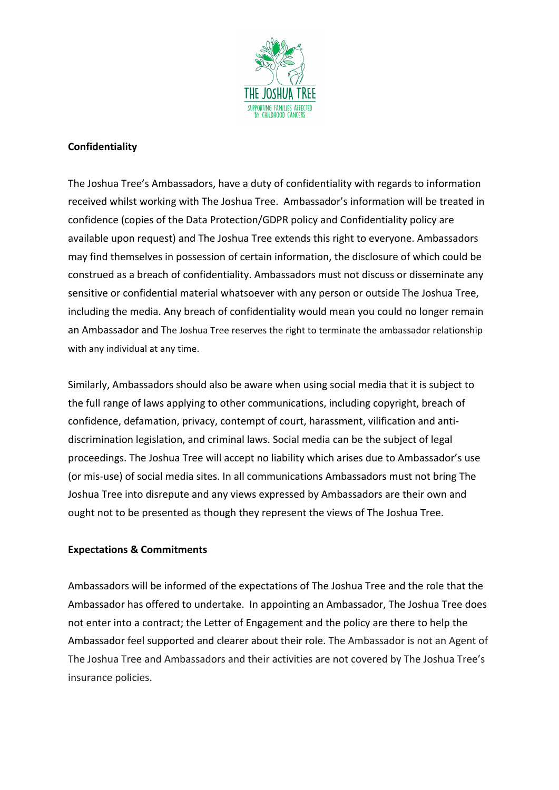

### **Confidentiality**

The Joshua Tree's Ambassadors, have a duty of confidentiality with regards to information received whilst working with The Joshua Tree. Ambassador's information will be treated in confidence (copies of the Data Protection/GDPR policy and Confidentiality policy are available upon request) and The Joshua Tree extends this right to everyone. Ambassadors may find themselves in possession of certain information, the disclosure of which could be construed as a breach of confidentiality. Ambassadors must not discuss or disseminate any sensitive or confidential material whatsoever with any person or outside The Joshua Tree, including the media. Any breach of confidentiality would mean you could no longer remain an Ambassador and The Joshua Tree reserves the right to terminate the ambassador relationship with any individual at any time.

Similarly, Ambassadors should also be aware when using social media that it is subject to the full range of laws applying to other communications, including copyright, breach of confidence, defamation, privacy, contempt of court, harassment, vilification and antidiscrimination legislation, and criminal laws. Social media can be the subject of legal proceedings. The Joshua Tree will accept no liability which arises due to Ambassador's use (or mis-use) of social media sites. In all communications Ambassadors must not bring The Joshua Tree into disrepute and any views expressed by Ambassadors are their own and ought not to be presented as though they represent the views of The Joshua Tree.

#### **Expectations & Commitments**

Ambassadors will be informed of the expectations of The Joshua Tree and the role that the Ambassador has offered to undertake. In appointing an Ambassador, The Joshua Tree does not enter into a contract; the Letter of Engagement and the policy are there to help the Ambassador feel supported and clearer about their role. The Ambassador is not an Agent of The Joshua Tree and Ambassadors and their activities are not covered by The Joshua Tree's insurance policies.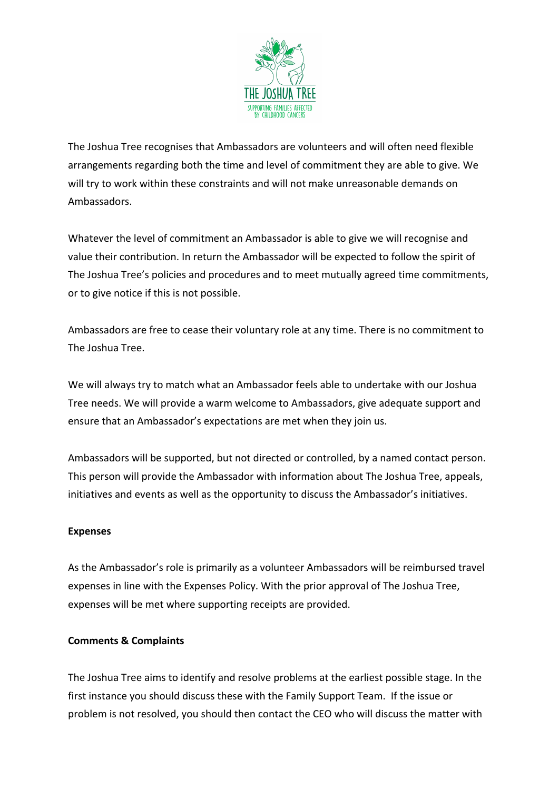

The Joshua Tree recognises that Ambassadors are volunteers and will often need flexible arrangements regarding both the time and level of commitment they are able to give. We will try to work within these constraints and will not make unreasonable demands on Ambassadors. 

Whatever the level of commitment an Ambassador is able to give we will recognise and value their contribution. In return the Ambassador will be expected to follow the spirit of The Joshua Tree's policies and procedures and to meet mutually agreed time commitments, or to give notice if this is not possible.

Ambassadors are free to cease their voluntary role at any time. There is no commitment to The Joshua Tree.

We will always try to match what an Ambassador feels able to undertake with our Joshua Tree needs. We will provide a warm welcome to Ambassadors, give adequate support and ensure that an Ambassador's expectations are met when they join us.

Ambassadors will be supported, but not directed or controlled, by a named contact person. This person will provide the Ambassador with information about The Joshua Tree, appeals, initiatives and events as well as the opportunity to discuss the Ambassador's initiatives.

#### **Expenses**

As the Ambassador's role is primarily as a volunteer Ambassadors will be reimbursed travel expenses in line with the Expenses Policy. With the prior approval of The Joshua Tree, expenses will be met where supporting receipts are provided.

#### **Comments & Complaints**

The Joshua Tree aims to identify and resolve problems at the earliest possible stage. In the first instance you should discuss these with the Family Support Team. If the issue or problem is not resolved, you should then contact the CEO who will discuss the matter with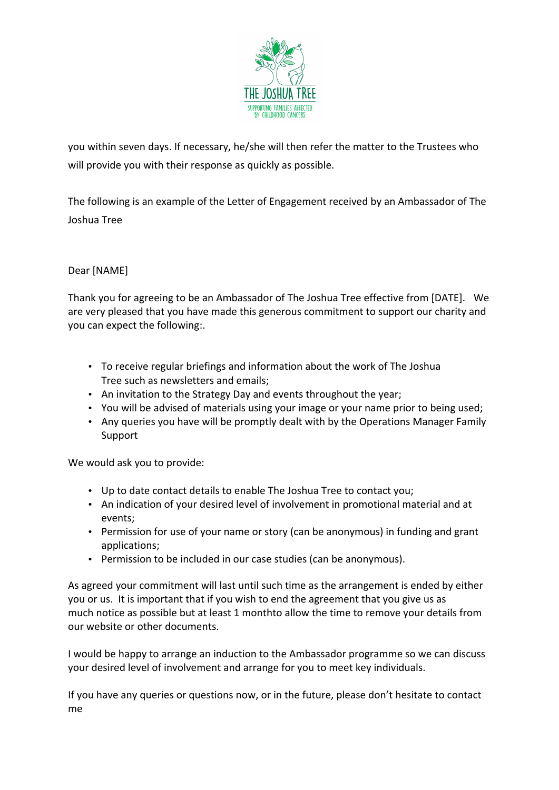

you within seven days. If necessary, he/she will then refer the matter to the Trustees who will provide you with their response as quickly as possible.

The following is an example of the Letter of Engagement received by an Ambassador of The Joshua Tree

## Dear [NAME]

Thank you for agreeing to be an Ambassador of The Joshua Tree effective from [DATE]. We are very pleased that you have made this generous commitment to support our charity and you can expect the following:.

- To receive regular briefings and information about the work of The Joshua Tree such as newsletters and emails;
- An invitation to the Strategy Day and events throughout the year;
- You will be advised of materials using your image or your name prior to being used;
- Any queries you have will be promptly dealt with by the Operations Manager Family Support

We would ask you to provide:

- Up to date contact details to enable The Joshua Tree to contact you;
- An indication of your desired level of involvement in promotional material and at events;
- Permission for use of your name or story (can be anonymous) in funding and grant applications;
- Permission to be included in our case studies (can be anonymous).

As agreed your commitment will last until such time as the arrangement is ended by either you or us. It is important that if you wish to end the agreement that you give us as much notice as possible but at least 1 monthto allow the time to remove your details from our website or other documents.

I would be happy to arrange an induction to the Ambassador programme so we can discuss your desired level of involvement and arrange for you to meet key individuals.

If you have any queries or questions now, or in the future, please don't hesitate to contact me